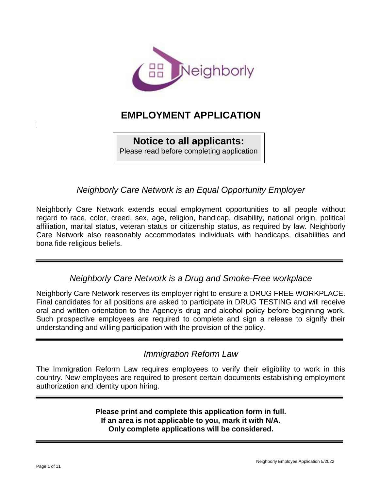

# **EMPLOYMENT APPLICATION**

#### **Notice to all applicants:** Please read before completing application

*Neighborly Care Network is an Equal Opportunity Employer*

Neighborly Care Network extends equal employment opportunities to all people without regard to race, color, creed, sex, age, religion, handicap, disability, national origin, political affiliation, marital status, veteran status or citizenship status, as required by law. Neighborly Care Network also reasonably accommodates individuals with handicaps, disabilities and bona fide religious beliefs.

*Neighborly Care Network is a Drug and Smoke-Free workplace*

Neighborly Care Network reserves its employer right to ensure a DRUG FREE WORKPLACE. Final candidates for all positions are asked to participate in DRUG TESTING and will receive oral and written orientation to the Agency's drug and alcohol policy before beginning work. Such prospective employees are required to complete and sign a release to signify their understanding and willing participation with the provision of the policy.

# *Immigration Reform Law*

The Immigration Reform Law requires employees to verify their eligibility to work in this country. New employees are required to present certain documents establishing employment authorization and identity upon hiring.

> **Please print and complete this application form in full. If an area is not applicable to you, mark it with N/A. Only complete applications will be considered.**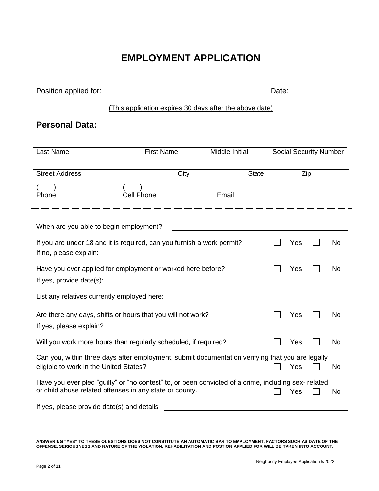# **EMPLOYMENT APPLICATION**

| Position applied for:                                                                                                                                                                                                        | <u> 1989 - Andrea Stadt Britain, fransk politik (d. 1989)</u> |                                                    |                | Date: |  |                               |  |
|------------------------------------------------------------------------------------------------------------------------------------------------------------------------------------------------------------------------------|---------------------------------------------------------------|----------------------------------------------------|----------------|-------|--|-------------------------------|--|
|                                                                                                                                                                                                                              | (This application expires 30 days after the above date)       |                                                    |                |       |  |                               |  |
| <b>Personal Data:</b>                                                                                                                                                                                                        |                                                               |                                                    |                |       |  |                               |  |
| <b>Last Name</b>                                                                                                                                                                                                             | <b>First Name</b>                                             |                                                    | Middle Initial |       |  | <b>Social Security Number</b> |  |
| <b>Street Address</b>                                                                                                                                                                                                        |                                                               | City                                               | <b>State</b>   |       |  | $\overline{Zip}$              |  |
| Phone                                                                                                                                                                                                                        | Cell Phone                                                    | Email                                              |                |       |  |                               |  |
| When are you able to begin employment?                                                                                                                                                                                       |                                                               | <u> 1989 - Johann Stone, mars et al. (</u> † 1920) |                |       |  |                               |  |
| If you are under 18 and it is required, can you furnish a work permit?<br>Yes<br>No<br>If no, please explain:                                                                                                                |                                                               |                                                    |                |       |  |                               |  |
| Have you ever applied for employment or worked here before?<br>No<br>Yes<br>If yes, provide date(s):<br><u> 1989 - Johann Stoff, deutscher Stoffen und der Stoffen und der Stoffen und der Stoffen und der Stoffen und d</u> |                                                               |                                                    |                |       |  |                               |  |
| List any relatives currently employed here:                                                                                                                                                                                  |                                                               |                                                    |                |       |  |                               |  |
| Are there any days, shifts or hours that you will not work?<br>Yes<br>No<br><u> 1989 - Johann Barnett, fransk politik (d. 1989)</u><br>If yes, please explain?                                                               |                                                               |                                                    |                |       |  |                               |  |
| Will you work more hours than regularly scheduled, if required?<br>No<br>Yes                                                                                                                                                 |                                                               |                                                    |                |       |  |                               |  |
| Can you, within three days after employment, submit documentation verifying that you are legally<br>eligible to work in the United States?<br>Yes<br>No                                                                      |                                                               |                                                    |                |       |  |                               |  |
| Have you ever pled "guilty" or "no contest" to, or been convicted of a crime, including sex- related<br>or child abuse related offenses in any state or county.<br>Yes<br>No                                                 |                                                               |                                                    |                |       |  |                               |  |
| If yes, please provide date(s) and details                                                                                                                                                                                   |                                                               |                                                    |                |       |  |                               |  |
|                                                                                                                                                                                                                              |                                                               |                                                    |                |       |  |                               |  |

**ANSWERING "YES" TO THESE QUESTIONS DOES NOT CONSTITUTE AN AUTOMATIC BAR TO EMPLOYMENT, FACTORS SUCH AS DATE OF THE OFFENSE, SERIOUSNESS AND NATURE OF THE VIOLATION, REHABILITATION AND POSTION APPLIED FOR WILL BE TAKEN INTO ACCOUNT.**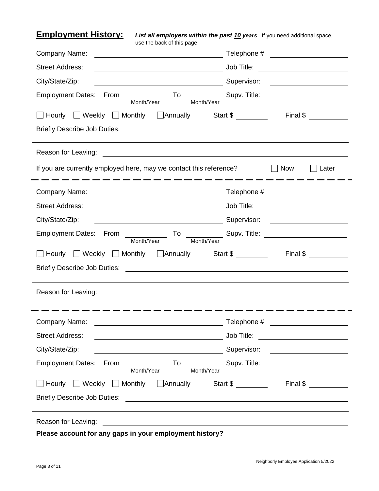**Employment History:** *List all employers within the past 10 years.* If you need additional space, use the back of this page.

| Company Name:<br><u> 1989 - Johann Stoff, Amerikaansk politiker (</u>                                                            | Telephone # _______________________   |
|----------------------------------------------------------------------------------------------------------------------------------|---------------------------------------|
| <b>Street Address:</b>                                                                                                           |                                       |
| City/State/Zip:<br>Supervisor:                                                                                                   |                                       |
| Employment Dates: From<br>$\overline{\phantom{a}}$ To<br>Month/Year<br>Month/Year                                                | Supv. Title: <u>Communications</u>    |
| □ Hourly □ Weekly □ Monthly □ Annually Start \$ ________ Final \$ _______                                                        |                                       |
|                                                                                                                                  |                                       |
| Reason for Leaving:<br><u> 1989 - Johann Barn, fransk politik fotograf (d. 1989)</u>                                             |                                       |
| If you are currently employed here, may we contact this reference?                                                               | Now<br>Later                          |
| Company Name:                                                                                                                    |                                       |
| <b>Street Address:</b>                                                                                                           |                                       |
| City/State/Zip:                                                                                                                  | Supervisor: _______________________   |
| Employment Dates: From<br>Month/Year<br>Month/Year                                                                               |                                       |
| □ Weekly □ Monthly □ Annually Start \$ _______ Final \$ _______<br>  Hourly                                                      |                                       |
|                                                                                                                                  |                                       |
| Reason for Leaving:                                                                                                              |                                       |
| Company Name:                                                                                                                    | Telephone #                           |
| <b>Street Address:</b><br><u> 1989 - Johann Barn, mars and de Brasilia (b. 1989)</u>                                             | Job Title: __________________________ |
| City/State/Zip:                                                                                                                  |                                       |
| Employment Dates: From ________________ To ______________ Supv. Title: _____________________________<br>Month/Year<br>Month/Year |                                       |
| □ Hourly □ Weekly □ Monthly □ Annually Start \$ ________ Final \$ ________                                                       |                                       |
|                                                                                                                                  |                                       |
| Reason for Leaving:<br><u> 1980 - Andrea Stadt Britain, fransk politik (d. 1980)</u>                                             |                                       |
|                                                                                                                                  |                                       |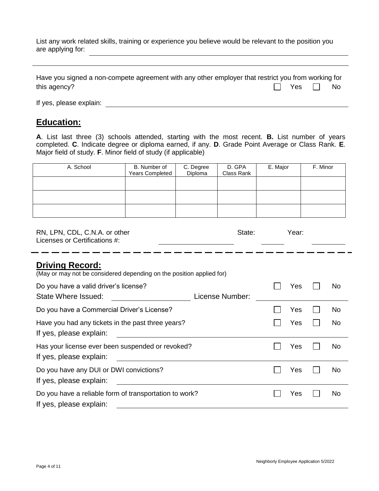List any work related skills, training or experience you believe would be relevant to the position you are applying for:

| Have you signed a non-compete agreement with any other employer that restrict you from working for |                      |  |
|----------------------------------------------------------------------------------------------------|----------------------|--|
| this agency?                                                                                       | $\Box$ Yes $\Box$ No |  |

If yes, please explain:

#### **Education:**

**A**. List last three (3) schools attended, starting with the most recent. **B.** List number of years completed. **C**. Indicate degree or diploma earned, if any. **D**. Grade Point Average or Class Rank. **E**. Major field of study. **F**. Minor field of study (if applicable)

| A. School | B. Number of<br><b>Years Completed</b> | C. Degree<br>Diploma | D. GPA<br>Class Rank | E. Major | F. Minor |
|-----------|----------------------------------------|----------------------|----------------------|----------|----------|
|           |                                        |                      |                      |          |          |
|           |                                        |                      |                      |          |          |
|           |                                        |                      |                      |          |          |

| RN, LPN, CDL, C.N.A. or other<br>Licenses or Certifications #:                                 |                 | State: | Year: |     |
|------------------------------------------------------------------------------------------------|-----------------|--------|-------|-----|
| <b>Driving Record:</b><br>(May or may not be considered depending on the position applied for) |                 |        |       |     |
| Do you have a valid driver's license?<br>State Where Issued:                                   | License Number: |        | Yes   | No  |
| Do you have a Commercial Driver's License?                                                     |                 |        | Yes   | No  |
| Have you had any tickets in the past three years?<br>If yes, please explain:                   |                 |        | Yes   | No. |
| Has your license ever been suspended or revoked?<br>If yes, please explain:                    |                 |        | Yes   | No  |
| Do you have any DUI or DWI convictions?<br>If yes, please explain:                             |                 |        | Yes   | No  |
| Do you have a reliable form of transportation to work?<br>If yes, please explain:              |                 |        | Yes   | No. |
|                                                                                                |                 |        |       |     |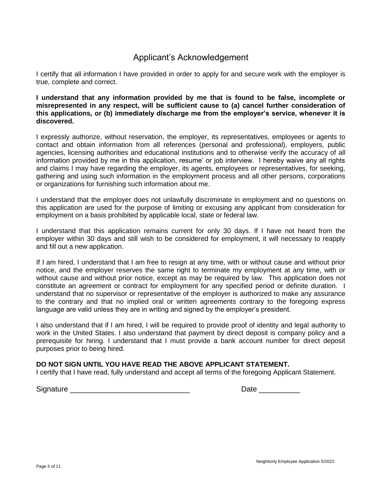#### Applicant's Acknowledgement

I certify that all information I have provided in order to apply for and secure work with the employer is true, complete and correct.

**I understand that any information provided by me that is found to be false, incomplete or misrepresented in any respect, will be sufficient cause to (a) cancel further consideration of this applications, or (b) immediately discharge me from the employer's service, whenever it is discovered.**

I expressly authorize, without reservation, the employer, its representatives, employees or agents to contact and obtain information from all references (personal and professional), employers, public agencies, licensing authorities and educational institutions and to otherwise verify the accuracy of all information provided by me in this application, resume' or job interview. I hereby waive any all rights and claims I may have regarding the employer, its agents, employees or representatives, for seeking, gathering and using such information in the employment process and all other persons, corporations or organizations for furnishing such information about me.

I understand that the employer does not unlawfully discriminate in employment and no questions on this application are used for the purpose of limiting or excusing any applicant from consideration for employment on a basis prohibited by applicable local, state or federal law.

I understand that this application remains current for only 30 days. If I have not heard from the employer within 30 days and still wish to be considered for employment, it will necessary to reapply and fill out a new application.

If I am hired, I understand that I am free to resign at any time, with or without cause and without prior notice, and the employer reserves the same right to terminate my employment at any time, with or without cause and without prior notice, except as may be required by law. This application does not constitute an agreement or contract for employment for any specified period or definite duration. I understand that no supervisor or representative of the employer is authorized to make any assurance to the contrary and that no implied oral or written agreements contrary to the foregoing express language are valid unless they are in writing and signed by the employer's president.

I also understand that if I am hired, I will be required to provide proof of identity and legal authority to work in the United States. I also understand that payment by direct deposit is company policy and a prerequisite for hiring. I understand that I must provide a bank account number for direct deposit purposes prior to being hired.

#### **DO NOT SIGN UNTIL YOU HAVE READ THE ABOVE APPLICANT STATEMENT.**

I certify that I have read, fully understand and accept all terms of the foregoing Applicant Statement.

Signature \_\_\_\_\_\_\_\_\_\_\_\_\_\_\_\_\_\_\_\_\_\_\_\_\_\_\_\_\_ Date \_\_\_\_\_\_\_\_\_\_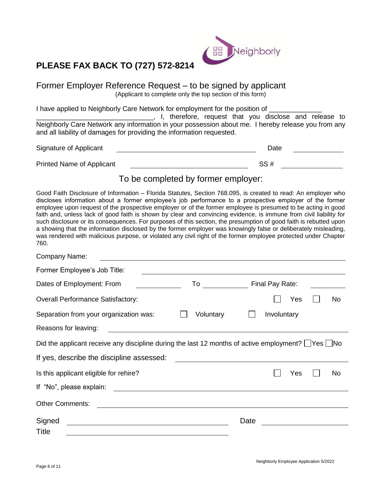

# **PLEASE FAX BACK TO (727) 572-8214**

Former Employer Reference Request – to be signed by applicant (Applicant to complete only the top section of this form)

I have applied to Neighborly Care Network for employment for the position of \_

\_\_\_\_\_\_\_\_\_\_\_\_\_\_\_\_\_\_\_\_\_\_\_\_\_\_\_\_\_\_\_, I, therefore, request that you disclose and release to Neighborly Care Network any information in your possession about me. I hereby release you from any and all liability of damages for providing the information requested.

| Signature of Applicant    | Date |
|---------------------------|------|
| Printed Name of Applicant | SS#  |

# To be completed by former employer:

Good Faith Disclosure of Information – Florida Statutes, Section 768.095, is created to read: An employer who discloses information about a former employee's job performance to a prospective employer of the former employee upon request of the prospective employer or of the former employee is presumed to be acting in good faith and, unless lack of good faith is shown by clear and convincing evidence, is immune from civil liability for such disclosure or its consequences. For purposes of this section, the presumption of good faith is rebutted upon a showing that the information disclosed by the former employer was knowingly false or deliberately misleading, was rendered with malicious purpose, or violated any civil right of the former employee protected under Chapter 760.

| Company Name:                                                                                                                                 |                                                                                                                       |                                                                    |                 |     |     |
|-----------------------------------------------------------------------------------------------------------------------------------------------|-----------------------------------------------------------------------------------------------------------------------|--------------------------------------------------------------------|-----------------|-----|-----|
| Former Employee's Job Title:                                                                                                                  | <u> 1989 - Johann Stein, marwolaethau a bhann an t-Albann an t-Albann an t-Albann an t-Albann an t-Albann an t-Al</u> |                                                                    |                 |     |     |
| Dates of Employment: From                                                                                                                     |                                                                                                                       | $\begin{array}{ccc} \text{To} & \text{\color{red}---} \end{array}$ | Final Pay Rate: |     |     |
| <b>Overall Performance Satisfactory:</b>                                                                                                      |                                                                                                                       |                                                                    |                 | Yes | No  |
| Separation from your organization was:                                                                                                        | Voluntary                                                                                                             |                                                                    | Involuntary     |     |     |
| Reasons for leaving:                                                                                                                          |                                                                                                                       |                                                                    |                 |     |     |
| Did the applicant receive any discipline during the last 12 months of active employment? $\Box$ Yes $\Box$ No                                 |                                                                                                                       |                                                                    |                 |     |     |
| If yes, describe the discipline assessed:                                                                                                     |                                                                                                                       |                                                                    |                 |     |     |
| Is this applicant eligible for rehire?                                                                                                        |                                                                                                                       |                                                                    |                 | Yes | No. |
| If "No", please explain:<br><u> 1989 - John Stein, Amerikaansk politiker (</u> † 1920)                                                        |                                                                                                                       |                                                                    |                 |     |     |
| <b>Other Comments:</b><br><u> 1989 - Johann Stein, mars and de Britain and de Britain and de Britain and de Britain and de Britain and de</u> |                                                                                                                       |                                                                    |                 |     |     |
| Signed                                                                                                                                        |                                                                                                                       | Date                                                               |                 |     |     |
| Title                                                                                                                                         |                                                                                                                       |                                                                    |                 |     |     |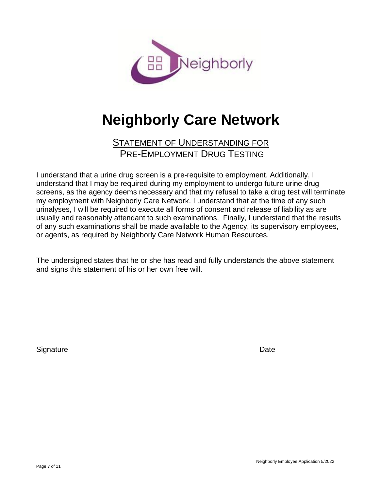

# **Neighborly Care Network**

# STATEMENT OF UNDERSTANDING FOR PRE-EMPLOYMENT DRUG TESTING

I understand that a urine drug screen is a pre-requisite to employment. Additionally, I understand that I may be required during my employment to undergo future urine drug screens, as the agency deems necessary and that my refusal to take a drug test will terminate my employment with Neighborly Care Network. I understand that at the time of any such urinalyses, I will be required to execute all forms of consent and release of liability as are usually and reasonably attendant to such examinations. Finally, I understand that the results of any such examinations shall be made available to the Agency, its supervisory employees, or agents, as required by Neighborly Care Network Human Resources.

The undersigned states that he or she has read and fully understands the above statement and signs this statement of his or her own free will.

Signature Date **Date**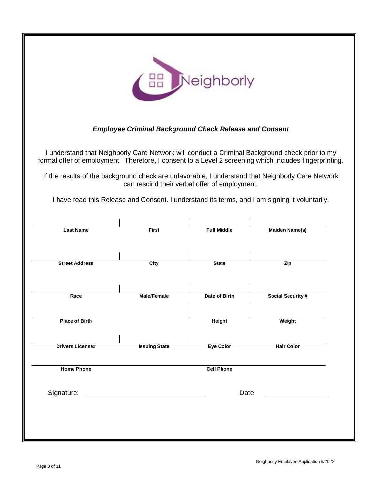

#### *Employee Criminal Background Check Release and Consent*

I understand that Neighborly Care Network will conduct a Criminal Background check prior to my formal offer of employment. Therefore, I consent to a Level 2 screening which includes fingerprinting.

If the results of the background check are unfavorable, I understand that Neighborly Care Network can rescind their verbal offer of employment.

I have read this Release and Consent. I understand its terms, and I am signing it voluntarily.

| <b>Last Name</b>        | <b>First</b>         | <b>Full Middle</b> | <b>Maiden Name(s)</b>    |
|-------------------------|----------------------|--------------------|--------------------------|
|                         |                      |                    |                          |
| <b>Street Address</b>   | City                 | <b>State</b>       | Zip                      |
| Race                    | Male/Female          | Date of Birth      | <b>Social Security #</b> |
| <b>Place of Birth</b>   |                      | <b>Height</b>      | Weight                   |
| <b>Drivers License#</b> | <b>Issuing State</b> | Eye Color          | <b>Hair Color</b>        |
| <b>Home Phone</b>       |                      | <b>Cell Phone</b>  |                          |
| Signature:              |                      | Date               |                          |
|                         |                      |                    |                          |
|                         |                      |                    |                          |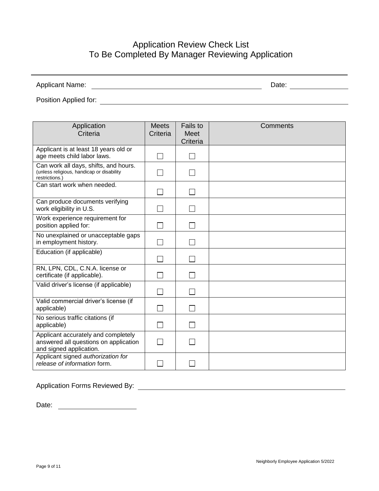# Application Review Check List To Be Completed By Manager Reviewing Application

| <b>Applicant Name:</b> | Date: |  |
|------------------------|-------|--|
| Position Applied for:  |       |  |

| Application<br>Criteria                                                                                 | <b>Meets</b><br>Criteria | <b>Fails to</b><br>Meet<br>Criteria | Comments |
|---------------------------------------------------------------------------------------------------------|--------------------------|-------------------------------------|----------|
| Applicant is at least 18 years old or<br>age meets child labor laws.                                    |                          |                                     |          |
| Can work all days, shifts, and hours.<br>(unless religious, handicap or disability<br>restrictions.)    |                          |                                     |          |
| Can start work when needed.                                                                             |                          |                                     |          |
| Can produce documents verifying<br>work eligibility in U.S.                                             |                          |                                     |          |
| Work experience requirement for<br>position applied for:                                                |                          |                                     |          |
| No unexplained or unacceptable gaps<br>in employment history.                                           |                          |                                     |          |
| Education (if applicable)                                                                               |                          |                                     |          |
| RN, LPN, CDL, C.N.A. license or<br>certificate (if applicable).                                         |                          |                                     |          |
| Valid driver's license (if applicable)                                                                  |                          |                                     |          |
| Valid commercial driver's license (if<br>applicable)                                                    |                          |                                     |          |
| No serious traffic citations (if<br>applicable)                                                         |                          |                                     |          |
| Applicant accurately and completely<br>answered all questions on application<br>and signed application. |                          |                                     |          |
| Applicant signed authorization for<br>release of information form.                                      |                          |                                     |          |

Application Forms Reviewed By:

Date: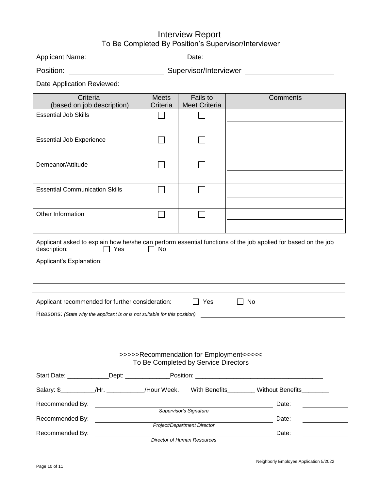#### Interview Report To Be Completed By Position's Supervisor/Interviewer

| <b>Applicant Name:</b> |  | Date: |  |
|------------------------|--|-------|--|
|------------------------|--|-------|--|

| Position: | Supervisor/Interviewer |
|-----------|------------------------|
|           |                        |

Date Application Reviewed:

| Criteria<br>(based on job description)                                     |                                                      | <b>Meets</b><br>Criteria | Fails to<br><b>Meet Criteria</b>                                                | Comments                                                                                                      |  |
|----------------------------------------------------------------------------|------------------------------------------------------|--------------------------|---------------------------------------------------------------------------------|---------------------------------------------------------------------------------------------------------------|--|
| <b>Essential Job Skills</b>                                                |                                                      |                          |                                                                                 |                                                                                                               |  |
| <b>Essential Job Experience</b>                                            |                                                      |                          |                                                                                 |                                                                                                               |  |
| Demeanor/Attitude                                                          |                                                      |                          |                                                                                 |                                                                                                               |  |
| <b>Essential Communication Skills</b>                                      |                                                      |                          |                                                                                 |                                                                                                               |  |
| Other Information                                                          |                                                      |                          |                                                                                 |                                                                                                               |  |
| description:                                                               | $\Box$ Yes                                           | No                       |                                                                                 | Applicant asked to explain how he/she can perform essential functions of the job applied for based on the job |  |
|                                                                            |                                                      |                          |                                                                                 |                                                                                                               |  |
|                                                                            |                                                      |                          |                                                                                 |                                                                                                               |  |
| Applicant recommended for further consideration:                           |                                                      |                          | Yes                                                                             | <b>No</b>                                                                                                     |  |
| Reasons: (State why the applicant is or is not suitable for this position) |                                                      |                          |                                                                                 |                                                                                                               |  |
|                                                                            |                                                      |                          |                                                                                 |                                                                                                               |  |
|                                                                            |                                                      |                          | >>>>>Recommendation for Employment<<<<<<br>To Be Completed by Service Directors |                                                                                                               |  |
|                                                                            |                                                      |                          |                                                                                 |                                                                                                               |  |
|                                                                            |                                                      |                          |                                                                                 | Salary: \$__________/Hr. __________/Hour Week. With Benefits________ Without Benefits________                 |  |
| Recommended By:                                                            | <u> 1989 - Johann Barnett, fransk politiker (</u>    |                          | Supervisor's Signature                                                          | Date:                                                                                                         |  |
| Recommended By:                                                            | <u> 1989 - Jan Barbara Barbara, prima politik po</u> |                          |                                                                                 | Date:<br>the company of the company of the                                                                    |  |
| Project/Department Director<br>Recommended By:<br>Date:                    |                                                      |                          |                                                                                 |                                                                                                               |  |
|                                                                            |                                                      |                          | Director of Human Resources                                                     |                                                                                                               |  |